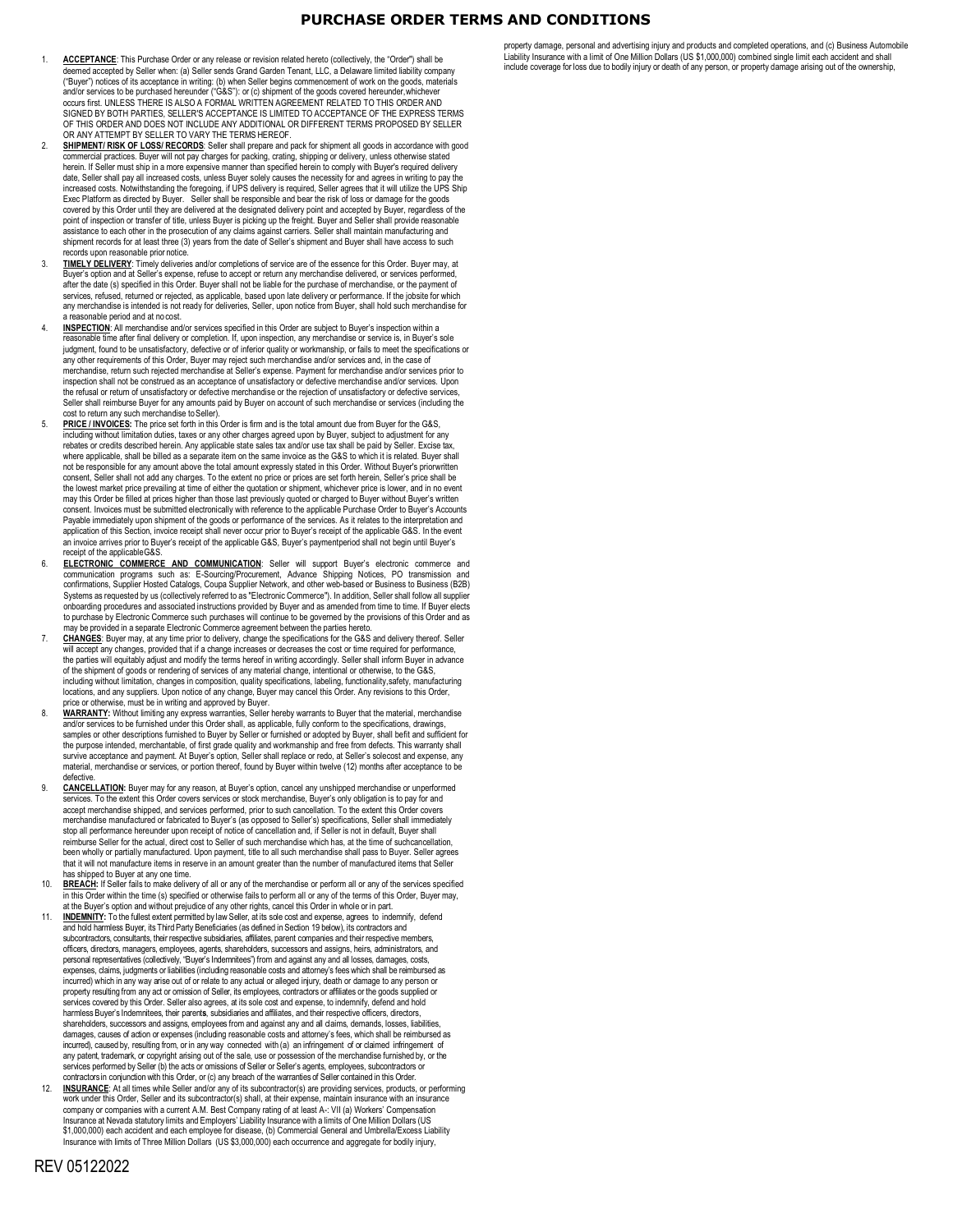## **PURCHASE ORDER TERMS AND CONDITIONS**

- 1. **ACCEPTANCE**: This Purchase Order or any release or revision related hereto (collectively, the "Order") shall be deemed accepted by Seller when: (a) Seller sends Grand Garden Tenant, LLC, a Delaware limited liability company ("Buyer") notices of its acceptance in writing: (b) when Seller begins commencement of work on the goods, materials and/or services to be purchased hereunder ("G&S"): or (c) shipment of the goods covered hereunder,whichever<br>occurs first. UNLESS THERE IS ALSO A FORMAL WRITTEN AGREEMENT RELATED TO THIS ORDER AND SIGNED BY BOTH PARTIES, SELLER'S ACCEPTANCE IS LIMITED TO ACCEPTANCE OF THE EXPRESS TERMS OF THIS ORDER AND DOES NOT INCLUDE ANY ADDITIONAL OR DIFFERENT TERMS PROPOSED BY SELLER OR ANY ATTEMPT BY SELLER TO VARY THE TERMS HEREOF.
- **SHIPMENT/ RISK OF LOSS/ RECORDS**: Seller shall prepare and pack for shipment all goods in accordance with good commercial practices. Buyer will not pay charges for packing, crating, shipping or delivery, unless otherwise stated herein. If Seller must ship in a more expensive manner than specified herein to comply with Buyer's required delivery<br>date, Seller shall pay all increased costs, unless Buyer solely causes the necessity for and agrees in w increased costs. Notwithstanding the foregoing, if UPS delivery is required, Seller agrees that it will utilize the UPS Ship Exec Platform as directed by Buyer. Seller shall be responsible and bear the risk of loss or damage for the goods covered by this Order until they are delivered at the designated delivery point and accepted by Buyer, regardless of the point of inspection or transfer of title, unless Buyer is picking up the freight. Buyer and Seller shall provide reasonable assistance to each other in the prosecution of any claims against carriers. Seller shall maintain manufacturing and shipment records for at least three (3) years from the date of Seller's shipment and Buyer shall have access to such records upon reasonable prior notice.
- 3. **TIMELY DELIVERY**: Timely deliveries and/or completions of service are of the essence for this Order. Buyer may, at Buyer's option and at Seller's expense, refuse to accept or return any merchandise delivered, or services performed, after the date (s) specified in this Order. Buyer shall not be liable for the purchase of merchandise, or the payment of services, refused, returned or rejected, as applicable, based upon late delivery or performance. If the jobsite for which any merchandise is intended is not ready for deliveries, Seller, upon notice from Buyer, shall hold such merchandise for a reasonable period and at nocost.
- **INSPECTION:** All merchandise and/or services specified in this Order are subject to Buyer's inspection within a reasonable time after final delivery or completion. If, upon inspection, any merchandise or service is, in Buyer's sole judgment, found to be unsatisfactory, defective or of inferior quality or workmanship, or fails to meet the specifications or any other requirements of this Order, Buyer may reject such merchandise and/or services and, in the case of merchandise, return such rejected merchandise at Seller's expense. Payment for merchandise and/or services prior to inspection shall not be construed as an acceptance of unsatisfactory or defective merchandise and/or services. Upon the refusal or return of unsatisfactory or defective merchandise or the rejection of unsatisfactory or defective services, Seller shall reimburse Buyer for any amounts paid by Buyer on account of such merchandise or services (including the cost to return any such merchandise toSeller).
- **PRICE / INVOICES:** The price set forth in this Order is firm and is the total amount due from Buyer for the G&S, including without limitation duties, taxes or any other charges agreed upon by Buyer, subject to adjustment for any rebates or credits described herein. Any applicable state sales tax and/or use tax shall be paid by Seller. Excise tax,<br>where applicable, shall be billed as a separate item on the same invoice as the G&S to which it is rel not be responsible for any amount above the total amount expressly stated in this Order. Without Buyer's priorwritten consent, Seller shall not add any charges. To the extent no price or prices are set forth herein, Seller's price shall be the lowest market price prevailing at time of either the quotation or shipment, whichever price is lower, and in no event may this Order be filled at prices higher than those last previously quoted or charged to Buyer without Buyer's written consent. Invoices must be submitted electronically with reference to the applicable Purchase Order to Buyer's Accounts Payable immediately upon shipment of the goods or performance of the services. As it relates to the interpretation and application of this Section, invoice receipt shall never occur prior to Buyer's receipt of the applicable G&S. In the event an invoice arrives prior to Buyer's receipt of the applicable G&S, Buyer's paymentperiod shall not begin until Buyer's receipt of the applicable G&S.
- 6. **ELECTRONIC COMMERCE AND COMMUNICATION**: Seller will support Buyer's electronic commerce and communication programs such as: E-Sourcing/Procurement, Advance Shipping Notices, PO transmission and confirmations, Supplier Hosted Catalogs, Coupa Supplier Network, and other web-based or Business to Business (B2B) Systems as requested by us (collectively referred to as "Electronic Commerce"). In addition, Seller shall follow all supplier onboarding procedures and associated instructions provided by Buyer and as amended from time to time. If Buyer elects to purchase by Electronic Commerce such purchases will continue to be governed by the provisions of this Order and as be provided in a separate Electronic Commerce agreement between the parties heret
- 7. **CHANGES**: Buyer may, at any time prior to delivery, change the specifications for the G&S and delivery thereof. Seller Il accept any changes, provided that if a change increases or decreases the cost or time required for performance, the parties will equitably adjust and modify the terms hereof in writing accordingly. Seller shall inform Buyer in advance of the shipment of goods or rendering of services of any material change, intentional or otherwise, to the G&S, including without limitation, changes in composition, quality specifications, labeling, functionality,safety, manufacturing locations, and any suppliers. Upon notice of any change, Buyer may cancel this Order. Any revisions to this Order,<br>price or otherwise, must be in writing and approved by Buyer.
- 8. **WARRANTY:** Without limiting any express warranties, Seller hereby warrants to Buyer that the material, merchandise and/or services to be furnished under this Order shall, as applicable, fully conform to the specifications, drawings, samples or other descriptions furnished to Buyer by Seller or furnished or adopted by Buyer, shall befit and sufficient for the purpose intended, merchantable, of first grade quality and workmanship and free from defects. This warranty shall survive acceptance and payment. At Buyer's option, Seller shall replace or redo, at Seller's solecost and expense, any material, merchandise or services, or portion thereof, found by Buyer within twelve (12) months after acceptance to be defective.
- 9. **CANCELLATION:** Buyer may for any reason, at Buyer's option, cancel any unshipped merchandise or unperformed services. To the extent this Order covers services or stock merchandise, Buyer's only obligation is to pay for and accept merchandise shipped, and services performed, prior to such cancellation. To the extent this Order covers merchandise manufactured or fabricated to Buyer's (as opposed to Seller's) specifications, Seller shall immediately stop all performance hereunder upon receipt of notice of cancellation and, if Seller is not in default, Buyer shall reimburse Seller for the actual, direct cost to Seller of such merchandise which has, at the time of suchcancellation, been wholly or partially manufactured. Upon payment, title to all such merchandise shall pass to Buyer. Seller agrees that it will not manufacture items in reserve in an amount greater than the number of manufactured items that Seller has shipped to Buyer at any one time.
- 10. **BREACH:** If Seller fails to make delivery of all or any of the merchandise or perform all or any of the services specified in this Order within the time (s) specified or otherwise fails to perform all or any of the terms of this Order, Buyer may, at the Buyer's option and without prejudice of any other rights, cancel this Order in whole or in part.
- 11. **INDEMNITY:** To the fullest extent permitted by law Seller, at its sole cost and expense, agrees to indemnify, defend and hold harmless Buyer, its Third Party Beneficiaries (as defined in Section 19 below), its contractors and subcontractors, consultants, their respective subsidiaries, affiliates, parent companies and their respective members officers, directors, managers, employees, agents, shareholders, successors and assigns, heirs, administrators, and personal representatives (collectively, "Buyer's Indemnitees") from and against any and all losses, damages, costs, expenses, claims, judgments or liabilities (including reasonable costs and attorney's fees which shall be reimbursed as incurred) which in any way arise out of or relate to any actual or alleged injury, death or damage to any person or property resulting from any act or omission of Seller, its employees, contractors or affiliates or the goods supplied or services covered by this Order. Seller also agrees, at its sole cost and expense, to indemnify, defend and hold harmless Buyer's Indemnitees, their parent**s**, subsidiaries and affiliates, and their respective officers, directors,<br>shareholders, successors and assigns, employees from and against any and all claims, demands, losses, li damages, causes of action or expenses (including reasonable costs and attorney's fees, which shall be reimbursed as incurred), caused by, resulting from, or in any way connected with (a) an infringement of or claimed infringement of<br>any patent, trademark, or copyright arising out of the sale, use or possession of the merchandise furnish services performed by Seller (b) the acts or omissions of Seller or Seller's agents, employees, subcontractors or contractors in conjunctionwith this Order, or (c) any breach of the warranties of Seller contained in this Order.
- **INSURANCE**: At all times while Seller and/or any of its subcontractor(s) are providing services, products, or performing work under this Order, Seller and its subcontractor(s) shall, at their expense, maintain insurance with an insurance company or companies with a current A.M. Best Company rating of at least A-: VII (a) Workers' Compensation is at Nevada statutory limits and Employers' Liability Insurance with a limits of One Million Dollars (US \$1,000,000) each accident and each employee for disease, (b) Commercial General and Umbrella/Excess Liability Insurance with limits of Three Million Dollars (US \$3,000,000) each occurrence and aggregate for bodily injury,

property damage, personal and advertising injury and products and completed operations, and (c) Business Automobile Liability Insurance with a limit of One Million Dollars (US \$1,000,000) combined single limit each accident and shall<br>include coverage for loss due to bodily injury or death of any person, or property damage arising out of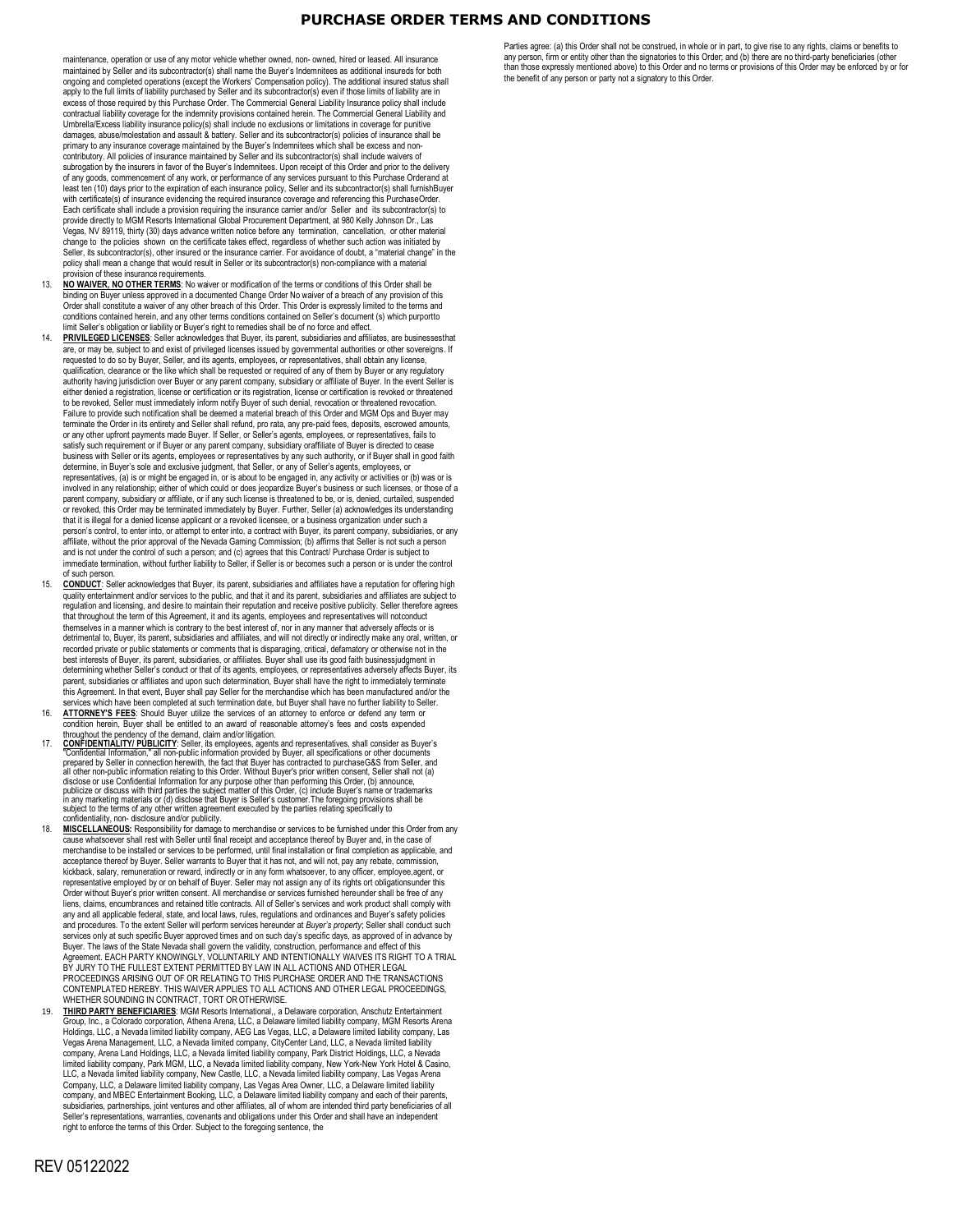## **PURCHASE ORDER TERMS AND CONDITIONS**

maintenance, operation or use of any motor vehicle whether owned, non- owned, hired or leased. All insurance maintained by Seller and its subcontractor(s) shall name the Buyer's Indemnitees as additional insureds for both ongoing and completed operations (except the Workers' Compensation policy). The additional insured status shall apply to the full limits of liability purchased by Seller and its subcontractor(s) even if those limits of liability are in excess of those required by this Purchase Order. The Commercial General Liability Insurance policy shall include contractual liability coverage for the indemnity provisions contained herein. The Commercial General Liability and Umbrella/Excess liability insurance policy(s) shall include no exclusions or limitations in coverage for punitive damages, abuse/molestation and assault & battery. Seller and its subcontractor(s) policies of insurance shall be primary to any insurance coverage maintained by the Buyer's Indemnitees which shall be excess and noncontributory. All policies of insurance maintained by Seller and its subcontractor(s) shall include waivers of subrogation by the insurers in favor of the Buyer's Indemnitees. Upon receipt of this Order and prior to the delivery of any goods, commencement of any work, or performance of any services pursuant to this Purchase Orderand at least (10) days prior to the expiration of each insurance policy, Seller and its subcontractor(s) shall furnishBuyer with certificate(s) of insurance evidencing the required insurance coverage and referencing this PurchaseOrder. Each certificate shall include a provision requiring the insurance carrier and/or Seller and its subcontractor(s) to provide directly to MGM Resorts International Global Procurement Department, at 980 Kelly Johnson Dr., Las Vegas, NV 89119, thirty (30) days advance written notice before any termination, cancellation, or other material change to the policies shown on the certificate takes effect, regardless of whether such action was initiated by Seller, its subcontractor(s), other insured or the insurance carrier. For avoidance of doubt, a "material change" in the<br>policy shall mean a change that would result in Seller or its subcontractor(s) non-compliance with a provision of these insurance requirements.

- 13. **NO WAIVER, NO OTHER TERMS**: No waiver or modification of the terms or conditions of this Order shall be binding on Buyer unless approved in a documented Change Order No waiver of a breach of any provision of this Order shall constitute a waiver of any other breach of this Order. This Order is expressly limited to the terms and conditions contained herein, and any other terms conditions contained on Seller's document (s) which purportto limit Seller's obligation or liability or Buyer's right to remedies shall be of no force and effect.
- 14. **PRIVILEGED LICENSES**: Seller acknowledges that Buyer, its parent, subsidiaries and affiliates, are businessesthat are, or may be, subject to and exist of privileged licenses issued by governmental authorities or other sovereigns. If requested to do so by Buyer, Seller, and its agents, employees, or representatives, shall obtain any license, qualification, clearance or the like which shall be requested or required of any of them by Buyer or any regulatory authority having jurisdiction over Buyer or any parent company, subsidiary or affiliate of Buyer. In the event Seller is either denied a registration, license or certification or its registration, license or certification is revoked or threatened to be revoked, Seller must immediately inform notify Buyer of such denial, revocation or threatened revocation. Failure to provide such notification shall be deemed a material breach of this Order and MGM Ops and Buyer may terminate the Order in its entirety and Seller shall refund, pro rata, any pre- paid fees, deposits, escrowed amounts, or any other upfront payments made Buyer. If Seller, or Seller's agents, employees, or representatives, fails to satisfy such requirement or if Buyer or any parent company, subsidiary oraffiliate of Buyer is directed to cease<br>business with Seller or its agents, employees or representatives by any such authority, or if Buyer shall in determine, in Buyer's sole and exclusive judgment, that Seller, or any of Seller's agents, employees, or representatives, (a) is or might be engaged in, or is about to be engaged in, any activity or activities or (b) was or is involved in any relationship; either of which could or does jeopardize Buyer's business or such licenses, or those of a parent company, subsidiary or affiliate, or if any such license is threatened to be, or is, denied, curtailed, suspended or revoked, this Order may be terminated immediately by Buyer. Further, Seller (a) acknowledges its understanding that it is illegal for a denied license applicant or a revoked licensee, or a business organization under such a person's control, to enter into, or attempt to enter into, a contract with Buyer, its parent company, subsidiaries, or any affiliate, without the prior approval of the Nevada Gaming Commission; (b) affirms that Seller is not such a person and is not under the control of such a person; and (c) agrees that this Contract/ Purchase Order is subject to immediate termination, without further liability to Seller, if Seller is or becomes such a person or is under the control of such person.
- 15. **CONDUCT**: Seller acknowledges that Buyer, its parent, subsidiaries and affiliates have a reputation for offering high quality entertainment and/or services to the public, and that it and its parent, subsidiaries and affiliates are subject to regulation and licensing, and desire to maintain their reputation and receive positive publicity. Seller therefore agrees that throughout the term of this Agreement, it and its agents, employees and representatives will notconduct themselves in a manner which is contrary to the best interest of, nor in any manner that adversely affects or is detrimental to, Buyer, its parent, subsidiaries and affiliates, and will not directly or indirectly make any oral, written, or recorded private or public statements or comments that is disparaging, critical, defamatory or otherwise not in the best interests of Buyer, its parent, subsidiaries, or affiliates. Buyer shall use its good faith businessjudgment in determining whether Seller's conduct or that of its agents, employees, or representatives adversely affects Buyer, its parent, subsidiaries or affiliates and upon such determination, Buyer shall have the right to immediately termina this Agreement. In that event, Buyer shall pay Seller for the merchandise which has been manufactured and/or the<br>services which have been completed at such termination date, but Buyer shall have no further liability to Sel
- 16. **ATTORNEY'S FEES**: Should Buyer utilize the services of an attorney to enforce or defend any term or condition herein, Buyer shall be entitled to an award of reasonable attorney's fees and costs expended
- throughout the pendency of the demand, claim and/or litigation.<br>
17. CONFLIDENTIALTY/PUBLICITY: Seller, its employees, agents and representatives, shall consider as Buyer's<br>
"Confidential Information," all non-public infor publicize or discuss with third parties the subject matter of this Order, (c) include Buyer's name or trademarks in any marketing materials or (d) disclose that Buyer is Seller's customer. The foregoing provisions shall be<br>subject to the terms of any other written agreement executed by the parties relating specifically to<br>confidentia
- 18. **MISCELLANEOUS:** Responsibility for damage to merchandise or services to be furnished under this Order from any cause whatsoever shall rest with Seller until final receipt and acceptance thereof by Buyer and, in the case of<br>merchandise to be installed or services to be performed, until final installation or final completion as appli acceptance thereof by Buyer. Seller warrants to Buyer that it has not, and will not, pay any rebate, commission, kickback, salary, remuneration or reward, indirectly or in any form whatsoever, to any officer, employee,agent, or representative employed by or on behalf of Buyer. Seller may not assign any of its rights ort obligationsunder this Order without Buyer's prior written consent. All merchandise or services furnished hereunder shall be free of any liens, claims, encumbrances and retained title contracts. All of Seller's services and work product shall comply with any and all applicable federal, state, and local laws, rules, regulations and ordinances and Buyer's safety policies and procedures. To the extent Seller will perform services hereunder at *Buyer's property*; Seller shall conduct such services only at such specific Buyer approved times and on such day's specific days, as approved of in advance by Buyer. The laws of the State Nevada shall govern the validity, construction, performance and effect of this Agreement. EACH PARTY KNOWINGLY, VOLUNTARILY AND INTENTIONALLY WAIVES ITS RIGHT TO A TRIAL BY JURY TO THE FULLEST EXTENT PERMITTED BY LAW IN ALL ACTIONS AND OTHER LEGAL PROCEEDINGS ARISING OUT OF OR RELATING TO THIS PURCHASE ORDER AND THE TRANSACTIONS CONTEMPLATED HEREBY. THIS WAIVER APPLIES TO ALL ACTIONS AND OTHER LEGAL PROCEEDINGS, WHETHER SOUNDING IN CONTRACT, TORT OR OTHERWISE.
- 19. **THIRD PARTY BENEFICIARIES**: MGM Resorts International,, a Delaware corporation, Anschutz Entertainment Group, Inc., a Colorado corporation, Athena Arena, LLC, a Delaware limited liability company, MGM Resorts Arena<br>Holdings, LLC, a Nevada limited liability company, AEG Las Vegas, LLC, a Delaware limited liability company, L Vegas Arena Management, LLC, a Nevada limited company, CityCenter Land, LLC, a Nevada limited liability company, Arena Land Holdings, LLC, a Nevada limited liability company, Park District Holdings, LLC, a Nevada limited liability company, Park MGM, LLC, a Nevada limited liability company, New York-New York Hotel & Casino, LLC, a Nevada limited liability company, New Castle, LLC, a Nevada limited liability company, Las Vegas Arena Company, LLC, a Delaware limited liability company, Las Vegas Area Owner, LLC, a Delaware limited liability company, and MBEC Entertainment Booking, LLC, a Delaware limited liability company and each of their parents subsidiaries, partnerships, joint ventures and other affiliates, all of whom are intended third party beneficiaries of all entations, warranties, covenants and obligations under this Order and shall have an independent right to enforce the terms of this Order. Subject to the foregoing sentence, the

Parties agree: (a) this Order shall not be construed, in whole or in part, to give rise to any rights, claims or benefits to any person, firm or entity other than the signatories to this Order; and (b) there are no third-party beneficiaries (other<br>than those expressly mentioned above) to this Order and no terms or provisions of this Order may be the benefit of any person or party not a signatory to this Order.